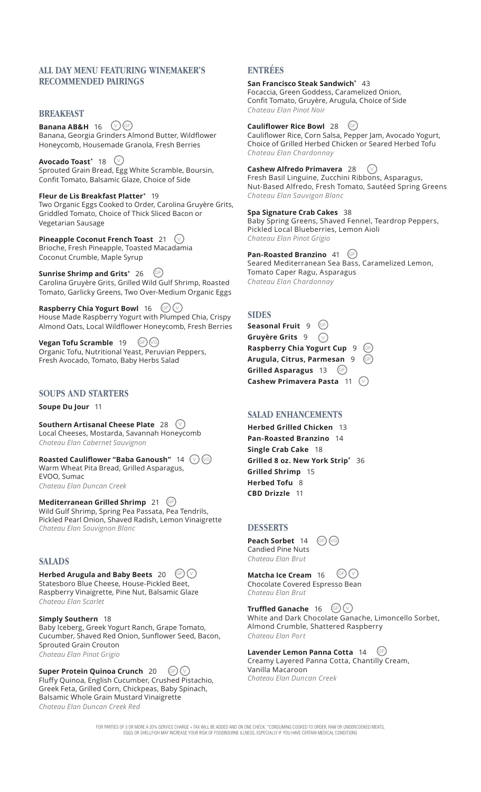## **ALL DAY MENU FEATURING WINEMAKER'S RECOMMENDED PAIRINGS**

## **BREAKFAST**

**Banana AB&H** 16 <del>∪</del> Banana, Georgia Grinders Almond Butter, Wildflower Honeycomb, Housemade Granola, Fresh Berries

 $\blacksquare$ Avocado Toast $^*$  18  $\hspace{0.5cm}$   $\vee$ Sprouted Grain Bread, Egg White Scramble, Boursin, Confit Tomato, Balsamic Glaze, Choice of Side

**Fleur de Lis Breakfast Platter\*** 19 Two Organic Eggs Cooked to Order, Carolina Gruyère Grits, Griddled Tomato, Choice of Thick Sliced Bacon or Vegetarian Sausage

**Pineapple Coconut French Toast** 21  $\vee$ Brioche, Fresh Pineapple, Toasted Macadamia Coconut Crumble, Maple Syrup

 $\blacksquare$ Sunrise Shrimp and Grits $^*$  26  $\heartsuit$ Carolina Gruyère Grits, Grilled Wild Gulf Shrimp, Roasted Tomato, Garlicky Greens, Two Over-Medium Organic Eggs

**Raspberry Chia Yogurt Bowl** 16  $\left(\frac{GF}{G}\right)\left(\frac{V}{G}\right)$ House Made Raspberry Yogurt with Plumped Chia, Crispy Almond Oats, Local Wildflower Honeycomb, Fresh Berries

**Vegan Tofu Scramble** 19 (GF) VG Organic Tofu, Nutritional Yeast, Peruvian Peppers, Fresh Avocado, Tomato, Baby Herbs Salad

## **SOUPS AND STARTERS**

**Soupe Du Jour** 11

**Southern Artisanal Cheese Plate** 28 V Local Cheeses, Mostarda, Savannah Honeycomb *Chateau Elan Cabernet Sauvignon*

**Roasted Cauliflower "Baba Ganoush"** 14  $(\vee)$  (vg Warm Wheat Pita Bread, Grilled Asparagus, EVOO, Sumac *Chateau Elan Duncan Creek*

**Mediterranean Grilled Shrimp** 21 GE Wild Gulf Shrimp, Spring Pea Passata, Pea Tendrils, Pickled Pearl Onion, Shaved Radish, Lemon Vinaigrette *Chateau Elan Sauvignon Blanc*

## **SALADS**

**Herbed Arugula and Baby Beets** 20  $\left(\frac{1}{2}\right)\left(\frac{1}{2}\right)$ Statesboro Blue Cheese, House-Pickled Beet, Raspberry Vinaigrette, Pine Nut, Balsamic Glaze *Chateau Elan Scarlet*

**Simply Southern** 18 Baby Iceberg, Greek Yogurt Ranch, Grape Tomato, Cucumber, Shaved Red Onion, Sunflower Seed, Bacon, Sprouted Grain Crouton *Chateau Elan Pinot Grigio*

**Super Protein Quinoa Crunch** 20 (GF) ( $\vee$ Fluffy Quinoa, English Cucumber, Crushed Pistachio, Greek Feta, Grilled Corn, Chickpeas, Baby Spinach, Balsamic Whole Grain Mustard Vinaigrette *Chateau Elan Duncan Creek Red*

# **ENTRÉES**

**San Francisco Steak Sandwich\*** 43

Focaccia, Green Goddess, Caramelized Onion, Confit Tomato, Gruyère, Arugula, Choice of Side *Chateau Elan Pinot Noir*

## **Cauliflower Rice Bowl** 28 GF

Cauliflower Rice, Corn Salsa, Pepper Jam, Avocado Yogurt, Choice of Grilled Herbed Chicken or Seared Herbed Tofu *Chateau Elan Chardonnay*

#### **Cashew Alfredo Primavera** 28  $\circ$

Fresh Basil Linguine, Zucchini Ribbons, Asparagus, Nut-Based Alfredo, Fresh Tomato, Sautéed Spring Greens *Chateau Elan Sauvigon Blanc*

## **Spa Signature Crab Cakes** 38

Baby Spring Greens, Shaved Fennel, Teardrop Peppers, Pickled Local Blueberries, Lemon Aioli *Chateau Elan Pinot Grigio*

**Pan-Roasted Branzino** 41 GE

Seared Mediterranean Sea Bass, Caramelized Lemon, Tomato Caper Ragu, Asparagus *Chateau Elan Chardonnay*

## **SIDES**

**Seasonal Fruit** 9 <sup>(</sup> **Gruyère Grits** 9 ( $\lor$ **Raspberry Chia Yogurt Cup** 9 **Arugula, Citrus, Parmesan** 9 **Grilled Asparagus** 13 **Cashew Primavera Pasta** 11 V GF GF  $GF$ 

## **SALAD ENHANCEMENTS**

**Herbed Grilled Chicken** 13 **Pan-Roasted Branzino** 14 **Single Crab Cake** 18 **Grilled 8 oz. New York Strip\*** 36 **Grilled Shrimp** 15 **Herbed Tofu** 8 **CBD Drizzle** 11

## **DESSERTS**

**Peach Sorbet** 14 Candied Pine Nuts *Chateau Elan Brut*

**Matcha Ice Cream** 16 Chocolate Covered Espresso Bean *Chateau Elan Brut*  $(GF)(v)$ 

**Truffled Ganache** 16 GF V White and Dark Chocolate Ganache, Limoncello Sorbet, Almond Crumble, Shattered Raspberry *Chateau Elan Port*

**Lavender Lemon Panna Cotta** 14 Creamy Layered Panna Cotta, Chantilly Cream, Vanilla Macaroon *Chateau Elan Duncan Creek* GF

 $GF)(G)$ 

FOR PARTIES OF 5 OR MORE A 20% SERVICE CHARGE + TAX WILL BE ADDED AND ON ONE CHECK. \*CONSUMING COOKED TO ORDER, RAW OR UNDERCOOKED MEATS, EGGS OR SHELLFISH MAY INCREASE YOUR RISK OF FOODBOURNE ILLNESS, ESPECIALLY IF YOU HAVE CERTAIN MEDICAL CONDITIONS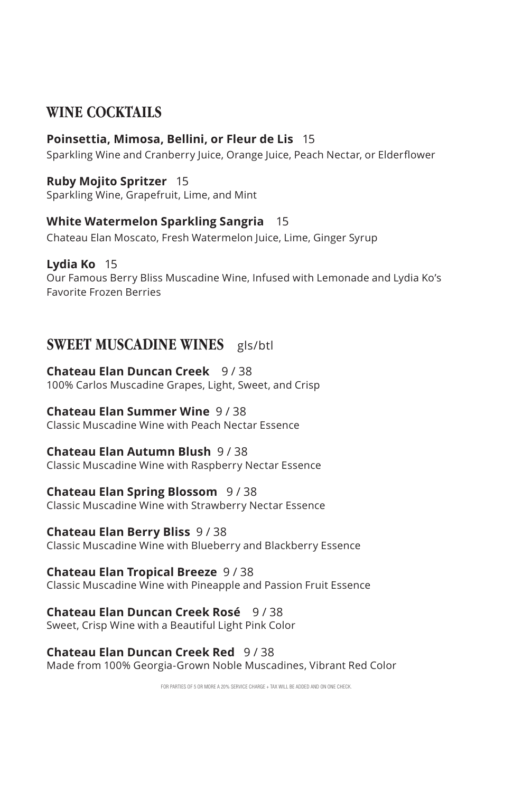## **WINE COCKTAILS**

## **Poinsettia, Mimosa, Bellini, or Fleur de Lis** 15

Sparkling Wine and Cranberry Juice, Orange Juice, Peach Nectar, or Elderflower

## **Ruby Mojito Spritzer** 15

Sparkling Wine, Grapefruit, Lime, and Mint

## **White Watermelon Sparkling Sangria** 15

Chateau Elan Moscato, Fresh Watermelon Juice, Lime, Ginger Syrup

## **Lydia Ko** 15

Our Famous Berry Bliss Muscadine Wine, Infused with Lemonade and Lydia Ko's Favorite Frozen Berries

## **SWEET MUSCADINE WINES** gls/btl

## **Chateau Elan Duncan Creek** 9 / 38

100% Carlos Muscadine Grapes, Light, Sweet, and Crisp

## **Chateau Elan Summer Wine** 9 / 38

Classic Muscadine Wine with Peach Nectar Essence

## **Chateau Elan Autumn Blush** 9 / 38

Classic Muscadine Wine with Raspberry Nectar Essence

## **Chateau Elan Spring Blossom** 9 / 38

Classic Muscadine Wine with Strawberry Nectar Essence

## **Chateau Elan Berry Bliss** 9 / 38

Classic Muscadine Wine with Blueberry and Blackberry Essence

### **Chateau Elan Tropical Breeze** 9 / 38

Classic Muscadine Wine with Pineapple and Passion Fruit Essence

## **Chateau Elan Duncan Creek Rosé** 9 / 38

Sweet, Crisp Wine with a Beautiful Light Pink Color

## **Chateau Elan Duncan Creek Red** 9 / 38

Made from 100% Georgia-Grown Noble Muscadines, Vibrant Red Color

FOR PARTIES OF 5 OR MORE A 20% SERVICE CHARGE + TAX WILL BE ADDED AND ON ONE CHECK.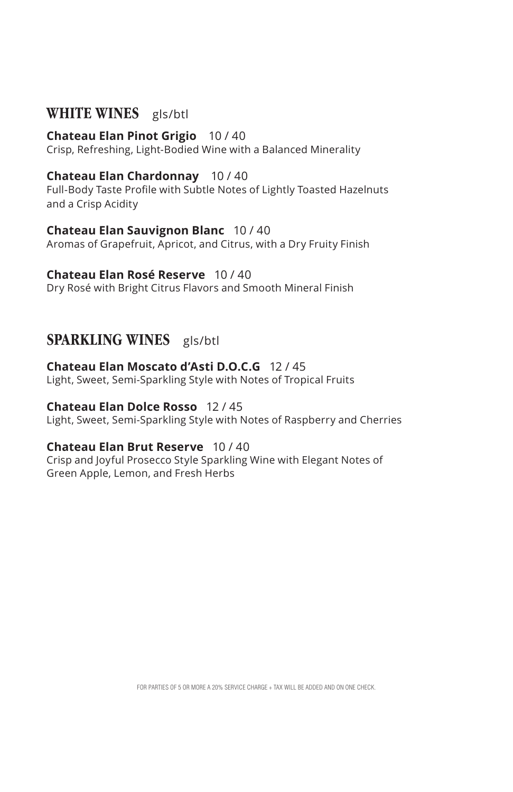## **WHITE WINES** gls/btl

#### **Chateau Elan Pinot Grigio** 10 / 40

Crisp, Refreshing, Light-Bodied Wine with a Balanced Minerality

### **Chateau Elan Chardonnay** 10 / 40

Full-Body Taste Profile with Subtle Notes of Lightly Toasted Hazelnuts and a Crisp Acidity

#### **Chateau Elan Sauvignon Blanc** 10 / 40

Aromas of Grapefruit, Apricot, and Citrus, with a Dry Fruity Finish

#### **Chateau Elan Rosé Reserve** 10 / 40

Dry Rosé with Bright Citrus Flavors and Smooth Mineral Finish

## **SPARKLING WINES** gls/btl

## **Chateau Elan Moscato d'Asti D.O.C.G** 12 / 45

Light, Sweet, Semi-Sparkling Style with Notes of Tropical Fruits

### **Chateau Elan Dolce Rosso** 12 / 45

Light, Sweet, Semi-Sparkling Style with Notes of Raspberry and Cherries

### **Chateau Elan Brut Reserve** 10 / 40

Crisp and Joyful Prosecco Style Sparkling Wine with Elegant Notes of Green Apple, Lemon, and Fresh Herbs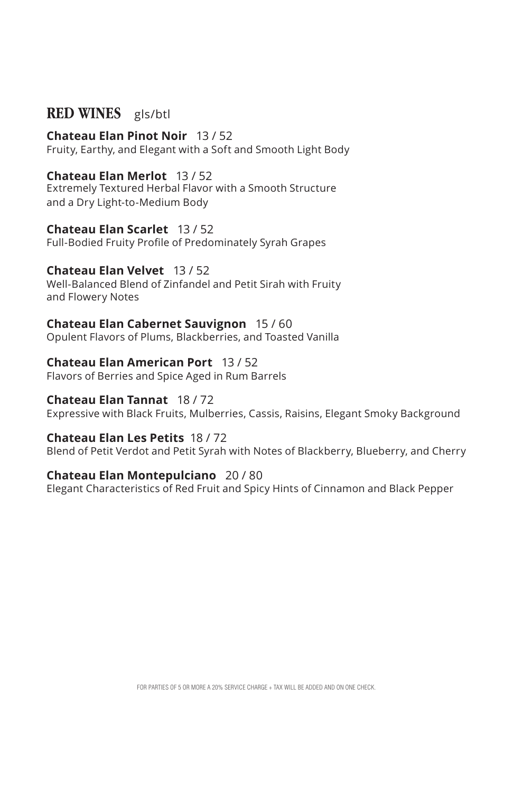## **RED WINES** gls/btl

#### **Chateau Elan Pinot Noir** 13 / 52 Fruity, Earthy, and Elegant with a Soft and Smooth Light Body

## **Chateau Elan Merlot** 13 / 52

Extremely Textured Herbal Flavor with a Smooth Structure and a Dry Light-to-Medium Body

**Chateau Elan Scarlet** 13 / 52 Full-Bodied Fruity Profile of Predominately Syrah Grapes

## **Chateau Elan Velvet** 13 / 52

Well-Balanced Blend of Zinfandel and Petit Sirah with Fruity and Flowery Notes

**Chateau Elan Cabernet Sauvignon** 15 / 60 Opulent Flavors of Plums, Blackberries, and Toasted Vanilla

## **Chateau Elan American Port** 13 / 52

Flavors of Berries and Spice Aged in Rum Barrels

## **Chateau Elan Tannat** 18 / 72

Expressive with Black Fruits, Mulberries, Cassis, Raisins, Elegant Smoky Background

### **Chateau Elan Les Petits** 18 / 72

Blend of Petit Verdot and Petit Syrah with Notes of Blackberry, Blueberry, and Cherry

### **Chateau Elan Montepulciano** 20 / 80

Elegant Characteristics of Red Fruit and Spicy Hints of Cinnamon and Black Pepper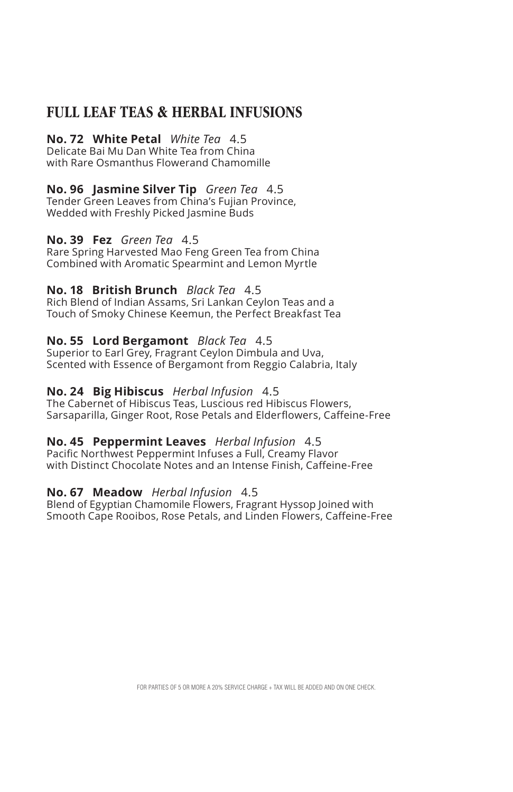## **FULL LEAF TEAS & HERBAL INFUSIONS**

## **No. 72 White Petal** *White Tea*4.5

Delicate Bai Mu Dan White Tea from China with Rare Osmanthus Flowerand Chamomille

## **No. 96 Jasmine Silver Tip** *Green Tea*4.5

Tender Green Leaves from China's Fujian Province, Wedded with Freshly Picked Jasmine Buds

### **No. 39 Fez** *Green Tea* 4.5

Rare Spring Harvested Mao Feng Green Tea from China Combined with Aromatic Spearmint and Lemon Myrtle

### **No. 18 British Brunch** *Black Tea*4.5

Rich Blend of Indian Assams, Sri Lankan Ceylon Teas and a Touch of Smoky Chinese Keemun, the Perfect Breakfast Tea

### **No. 55 Lord Bergamont** *Black Tea*4.5

Superior to Earl Grey, Fragrant Ceylon Dimbula and Uva, Scented with Essence of Bergamont from Reggio Calabria, Italy

### **No. 24 Big Hibiscus** *Herbal Infusion*4.5

The Cabernet of Hibiscus Teas, Luscious red Hibiscus Flowers, Sarsaparilla, Ginger Root, Rose Petals and Elderflowers, Caffeine-Free

### **No. 45 Peppermint Leaves** *Herbal Infusion*4.5

Pacific Northwest Peppermint Infuses a Full, Creamy Flavor with Distinct Chocolate Notes and an Intense Finish, Caffeine-Free

### **No. 67 Meadow** *Herbal Infusion*4.5

Blend of Egyptian Chamomile Flowers, Fragrant Hyssop Joined with Smooth Cape Rooibos, Rose Petals, and Linden Flowers, Caffeine-Free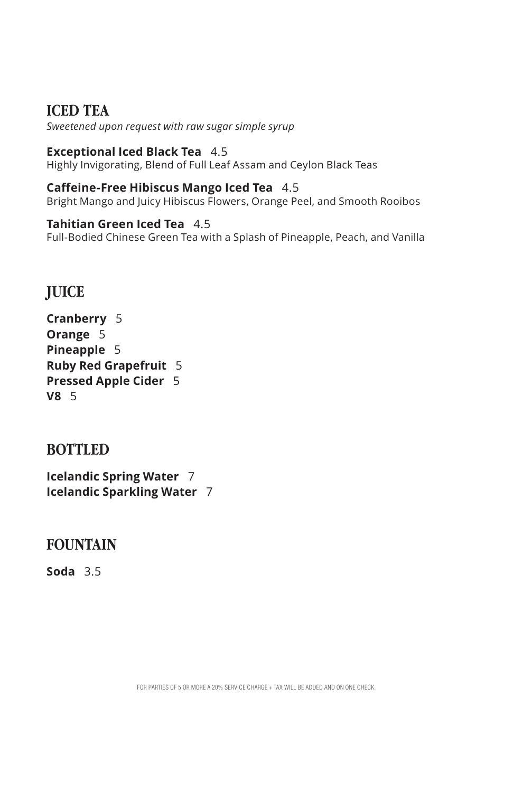## **ICED TEA**

*Sweetened upon request with raw sugar simple syrup*

## **Exceptional Iced Black Tea** 4.5

Highly Invigorating, Blend of Full Leaf Assam and Ceylon Black Teas

## **Caffeine-Free Hibiscus Mango Iced Tea** 4.5

Bright Mango and Juicy Hibiscus Flowers, Orange Peel, and Smooth Rooibos

## **Tahitian Green Iced Tea** 4.5

Full-Bodied Chinese Green Tea with a Splash of Pineapple, Peach, and Vanilla

## **JUICE**

| Cranberry<br>- 5             |    |
|------------------------------|----|
| Orange 5                     |    |
| <b>Pineapple 5</b>           |    |
| <b>Ruby Red Grapefruit</b>   | -5 |
| <b>Pressed Apple Cider</b> 5 |    |
| V8 <sub>5</sub>              |    |

## **BOTTLED**

**Icelandic Spring Water** 7 **Icelandic Sparkling Water** 7

## **FOUNTAIN**

**Soda** 3.5